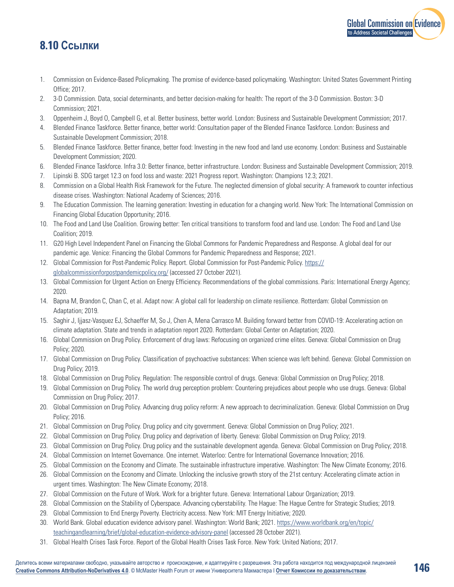## **8.10 Ссылки**

- 1. Commission on Evidence-Based Policymaking. The promise of evidence-based policymaking. Washington: United States Government Printing Office; 2017.
- 2. 3-D Commission. Data, social determinants, and better decision-making for health: The report of the 3-D Commission. Boston: 3-D Commission; 2021.
- 3. Oppenheim J, Boyd O, Campbell G, et al. Better business, better world. London: Business and Sustainable Development Commission; 2017.
- 4. Blended Finance Taskforce. Better finance, better world: Consultation paper of the Blended Finance Taskforce. London: Business and Sustainable Development Commission; 2018.
- 5. Blended Finance Taskforce. Better finance, better food: Investing in the new food and land use economy. London: Business and Sustainable Development Commission; 2020.
- 6. Blended Finance Taskforce. Infra 3.0: Better finance, better infrastructure. London: Business and Sustainable Development Commission; 2019.
- 7. Lipinski B. SDG target 12.3 on food loss and waste: 2021 Progress report. Washington: Champions 12.3; 2021.
- 8. Commission on a Global Health Risk Framework for the Future. The neglected dimension of global security: A framework to counter infectious disease crises. Washington: National Academy of Sciences; 2016.
- 9. The Education Commission. The learning generation: Investing in education for a changing world. New York: The International Commission on Financing Global Education Opportunity; 2016.
- 10. The Food and Land Use Coalition. Growing better: Ten critical transitions to transform food and land use. London: The Food and Land Use Coalition; 2019.
- 11. G20 High Level Independent Panel on Financing the Global Commons for Pandemic Preparedness and Response. A global deal for our pandemic age. Venice: Financing the Global Commons for Pandemic Preparedness and Response; 2021.
- 12. Global Commission for Post-Pandemic Policy. Report. Global Commission for Post-Pandemic Policy. [https://](https://globalcommissionforpostpandemicpolicy.org/) [globalcommissionforpostpandemicpolicy.org/](https://globalcommissionforpostpandemicpolicy.org/) (accessed 27 October 2021).
- 13. Global Commission for Urgent Action on Energy Efficiency. Recommendations of the global commissions. Paris: International Energy Agency; 2020.
- 14. Bapna M, Brandon C, Chan C, et al. Adapt now: A global call for leadership on climate resilience. Rotterdam: Global Commission on Adaptation; 2019.
- 15. Saghir J, Ijjasz-Vasquez EJ, Schaeffer M, So J, Chen A, Mena Carrasco M. Building forward better from COVID-19: Accelerating action on climate adaptation. State and trends in adaptation report 2020. Rotterdam: Global Center on Adaptation; 2020.
- 16. Global Commission on Drug Policy. Enforcement of drug laws: Refocusing on organized crime elites. Geneva: Global Commission on Drug Policy; 2020.
- 17. Global Commission on Drug Policy. Classification of psychoactive substances: When science was left behind. Geneva: Global Commission on Drug Policy; 2019.
- 18. Global Commission on Drug Policy. Regulation: The responsible control of drugs. Geneva: Global Commission on Drug Policy; 2018.
- 19. Global Commission on Drug Policy. The world drug perception problem: Countering prejudices about people who use drugs. Geneva: Global Commission on Drug Policy; 2017.
- 20. Global Commission on Drug Policy. Advancing drug policy reform: A new approach to decriminalization. Geneva: Global Commission on Drug Policy; 2016.
- 21. Global Commission on Drug Policy. Drug policy and city government. Geneva: Global Commission on Drug Policy; 2021.
- 22. Global Commission on Drug Policy. Drug policy and deprivation of liberty. Geneva: Global Commission on Drug Policy; 2019.
- 23. Global Commission on Drug Policy. Drug policy and the sustainable development agenda. Geneva: Global Commission on Drug Policy; 2018.
- 24. Global Commission on Internet Governance. One internet. Waterloo: Centre for International Governance Innovation; 2016.
- 25. Global Commission on the Economy and Climate. The sustainable infrastructure imperative. Washington: The New Climate Economy; 2016.
- 26. Global Commission on the Economy and Climate. Unlocking the inclusive growth story of the 21st century: Accelerating climate action in urgent times. Washington: The New Climate Economy; 2018.
- 27. Global Commission on the Future of Work. Work for a brighter future. Geneva: International Labour Organization; 2019.
- 28. Global Commission on the Stability of Cyberspace. Advancing cyberstability. The Hague: The Hague Centre for Strategic Studies; 2019.
- 29. Global Commission to End Energy Poverty. Electricity access. New York: MIT Energy Initiative; 2020.
- 30. World Bank. Global education evidence advisory panel. Washington: World Bank; 2021. [https://www.worldbank.org/en/topic/](https://www.worldbank.org/en/topic/teachingandlearning/brief/global-education-evidence-advisory-panel) [teachingandlearning/brief/global-education-evidence-advisory-panel](https://www.worldbank.org/en/topic/teachingandlearning/brief/global-education-evidence-advisory-panel) (accessed 28 October 2021).
- 31. Global Health Crises Task Force. Report of the Global Health Crises Task Force. New York: United Nations; 2017.

[Global Commission on Evidence](https://www.mcmasterforum.org/networks/evidence-commission/report/russian)

to Address Societal Challenge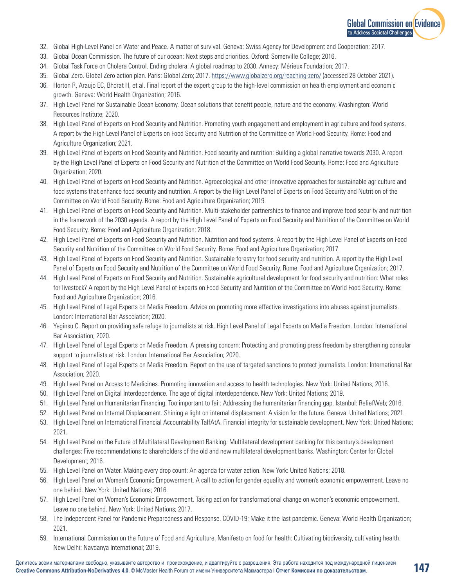

- 32. Global High-Level Panel on Water and Peace. A matter of survival. Geneva: Swiss Agency for Development and Cooperation; 2017.
- 33. Global Ocean Commission. The future of our ocean: Next steps and priorities. Oxford: Somerville College; 2016.
- 34. Global Task Force on Cholera Control. Ending cholera: A global roadmap to 2030. Annecy: Mérieux Foundation; 2017.
- 35. Global Zero. Global Zero action plan. Paris: Global Zero; 2017. <https://www.globalzero.org/reaching-zero/> (accessed 28 October 2021).
- 36. Horton R, Araujo EC, Bhorat H, et al. Final report of the expert group to the high-level commission on health employment and economic growth. Geneva: World Health Organization; 2016.
- 37. High Level Panel for Sustainable Ocean Economy. Ocean solutions that benefit people, nature and the economy. Washington: World Resources Institute; 2020.
- 38. High Level Panel of Experts on Food Security and Nutrition. Promoting youth engagement and employment in agriculture and food systems. A report by the High Level Panel of Experts on Food Security and Nutrition of the Committee on World Food Security. Rome: Food and Agriculture Organization; 2021.
- 39. High Level Panel of Experts on Food Security and Nutrition. Food security and nutrition: Building a global narrative towards 2030. A report by the High Level Panel of Experts on Food Security and Nutrition of the Committee on World Food Security. Rome: Food and Agriculture Organization; 2020.
- 40. High Level Panel of Experts on Food Security and Nutrition. Agroecological and other innovative approaches for sustainable agriculture and food systems that enhance food security and nutrition. A report by the High Level Panel of Experts on Food Security and Nutrition of the Committee on World Food Security. Rome: Food and Agriculture Organization; 2019.
- 41. High Level Panel of Experts on Food Security and Nutrition. Multi-stakeholder partnerships to finance and improve food security and nutrition in the framework of the 2030 agenda. A report by the High Level Panel of Experts on Food Security and Nutrition of the Committee on World Food Security. Rome: Food and Agriculture Organization; 2018.
- 42. High Level Panel of Experts on Food Security and Nutrition. Nutrition and food systems. A report by the High Level Panel of Experts on Food Security and Nutrition of the Committee on World Food Security. Rome: Food and Agriculture Organization; 2017.
- 43. High Level Panel of Experts on Food Security and Nutrition. Sustainable forestry for food security and nutrition. A report by the High Level Panel of Experts on Food Security and Nutrition of the Committee on World Food Security. Rome: Food and Agriculture Organization; 2017.
- 44. High Level Panel of Experts on Food Security and Nutrition. Sustainable agricultural development for food security and nutrition: What roles for livestock? A report by the High Level Panel of Experts on Food Security and Nutrition of the Committee on World Food Security. Rome: Food and Agriculture Organization; 2016.
- 45. High Level Panel of Legal Experts on Media Freedom. Advice on promoting more effective investigations into abuses against journalists. London: International Bar Association; 2020.
- 46. Yeginsu C. Report on providing safe refuge to journalists at risk. High Level Panel of Legal Experts on Media Freedom. London: International Bar Association; 2020.
- 47. High Level Panel of Legal Experts on Media Freedom. A pressing concern: Protecting and promoting press freedom by strengthening consular support to journalists at risk. London: International Bar Association; 2020.
- 48. High Level Panel of Legal Experts on Media Freedom. Report on the use of targeted sanctions to protect journalists. London: International Bar Association; 2020.
- 49. High Level Panel on Access to Medicines. Promoting innovation and access to health technologies. New York: United Nations; 2016.
- 50. High Level Panel on Digital Interdependence. The age of digital interdependence. New York: United Nations; 2019.
- 51. High Level Panel on Humanitarian Financing. Too important to fail: Addressing the humanitarian financing gap. Istanbul: ReliefWeb; 2016.
- 52. High Level Panel on Internal Displacement. Shining a light on internal displacement: A vision for the future. Geneva: United Nations; 2021.
- 53. High Level Panel on International Financial Accountability TaIfAtA. Financial integrity for sustainable development. New York: United Nations; 2021.
- 54. High Level Panel on the Future of Multilateral Development Banking. Multilateral development banking for this century's development challenges: Five recommendations to shareholders of the old and new multilateral development banks. Washington: Center for Global Development; 2016.
- 55. High Level Panel on Water. Making every drop count: An agenda for water action. New York: United Nations; 2018.
- 56. High Level Panel on Women's Economic Empowerment. A call to action for gender equality and women's economic empowerment. Leave no one behind. New York: United Nations; 2016.
- 57. High Level Panel on Women's Economic Empowerment. Taking action for transformational change on women's economic empowerment. Leave no one behind. New York: United Nations; 2017.
- 58. The Independent Panel for Pandemic Preparedness and Response. COVID-19: Make it the last pandemic. Geneva: World Health Organization; 2021.
- 59. International Commission on the Future of Food and Agriculture. Manifesto on food for health: Cultivating biodiversity, cultivating health. New Delhi: Navdanya International; 2019.